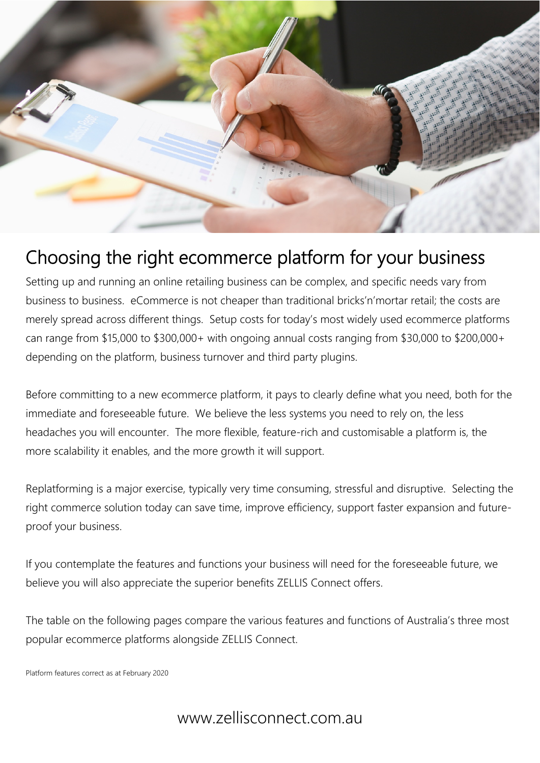

# Choosing the right ecommerce platform for your business

Setting up and running an online retailing business can be complex, and specific needs vary from business to business. eCommerce is not cheaper than traditional bricks'n'mortar retail; the costs are merely spread across different things. Setup costs for today's most widely used ecommerce platforms can range from \$15,000 to \$300,000+ with ongoing annual costs ranging from \$30,000 to \$200,000+ depending on the platform, business turnover and third party plugins.

Before committing to a new ecommerce platform, it pays to clearly define what you need, both for the immediate and foreseeable future. We believe the less systems you need to rely on, the less headaches you will encounter. The more flexible, feature-rich and customisable a platform is, the more scalability it enables, and the more growth it will support.

Replatforming is a major exercise, typically very time consuming, stressful and disruptive. Selecting the right commerce solution today can save time, improve efficiency, support faster expansion and futureproof your business.

If you contemplate the features and functions your business will need for the foreseeable future, we believe you will also appreciate the superior benefits ZELLIS Connect offers.

The table on the following pages compare the various features and functions of Australia's three most popular ecommerce platforms alongside ZELLIS Connect.

Platform features correct as at February 2020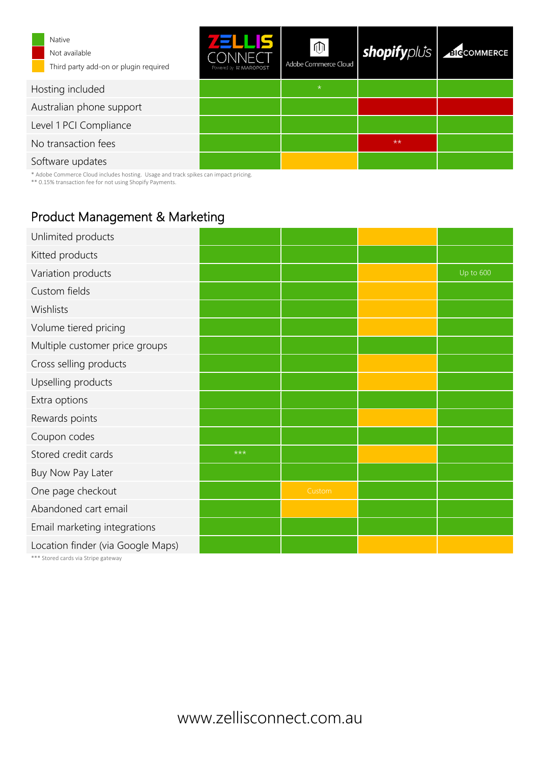| <b>Native</b><br>Not available<br>Third party add-on or plugin required | TE<br>ÆLI<br>Powered by 良 MAROPOST | 侕<br>Adobe Commerce Cloud | <b>shopify</b> plus | <b>BICCOMMERCE</b> |
|-------------------------------------------------------------------------|------------------------------------|---------------------------|---------------------|--------------------|
| Hosting included                                                        |                                    | $\star$                   |                     |                    |
| Australian phone support                                                |                                    |                           |                     |                    |
| Level 1 PCI Compliance                                                  |                                    |                           |                     |                    |
| No transaction fees                                                     |                                    |                           | $**$                |                    |
| Software updates                                                        |                                    |                           |                     |                    |

\* Adobe Commerce Cloud includes hosting. Usage and track spikes can impact pricing.

\*\* 0.15% transaction fee for not using Shopify Payments.

## Product Management & Marketing

|       |        | Up to 600 |
|-------|--------|-----------|
|       |        |           |
|       |        |           |
|       |        |           |
|       |        |           |
|       |        |           |
|       |        |           |
|       |        |           |
|       |        |           |
|       |        |           |
| $***$ |        |           |
|       |        |           |
|       | Custom |           |
|       |        |           |
|       |        |           |
|       |        |           |
|       |        |           |

\*\*\* Stored cards via Stripe gateway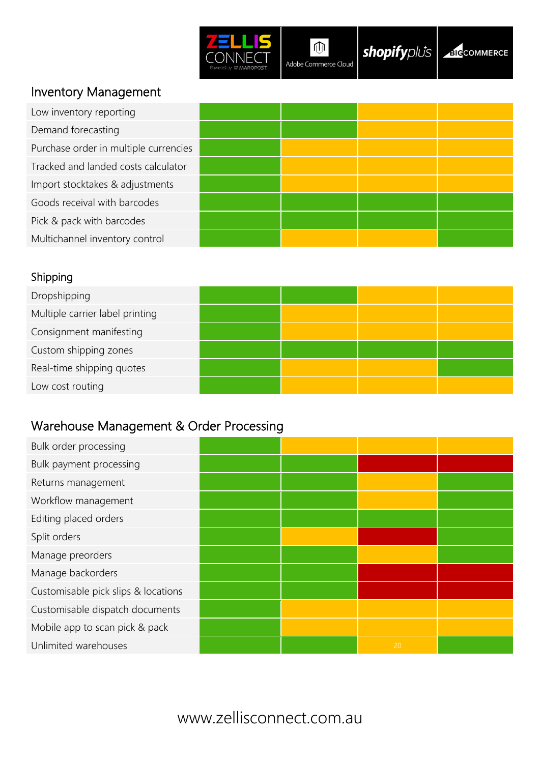

 $\overline{\oplus}$ Adobe Commerce Cloud

**shopify** plus 36 COMMERCE

### Inventory Management

| Low inventory reporting               |  |  |
|---------------------------------------|--|--|
| Demand forecasting                    |  |  |
| Purchase order in multiple currencies |  |  |
| Tracked and landed costs calculator   |  |  |
| Import stocktakes & adjustments       |  |  |
| Goods receival with barcodes          |  |  |
| Pick & pack with barcodes             |  |  |
| Multichannel inventory control        |  |  |

### Shipping

| Dropshipping                    |  |  |
|---------------------------------|--|--|
| Multiple carrier label printing |  |  |
| Consignment manifesting         |  |  |
| Custom shipping zones           |  |  |
| Real-time shipping quotes       |  |  |
| Low cost routing                |  |  |

### Warehouse Management & Order Processing

| Bulk order processing               |  |    |  |
|-------------------------------------|--|----|--|
| Bulk payment processing             |  |    |  |
| Returns management                  |  |    |  |
| Workflow management                 |  |    |  |
| Editing placed orders               |  |    |  |
| Split orders                        |  |    |  |
| Manage preorders                    |  |    |  |
| Manage backorders                   |  |    |  |
| Customisable pick slips & locations |  |    |  |
| Customisable dispatch documents     |  |    |  |
| Mobile app to scan pick & pack      |  |    |  |
| Unlimited warehouses                |  | 20 |  |
|                                     |  |    |  |